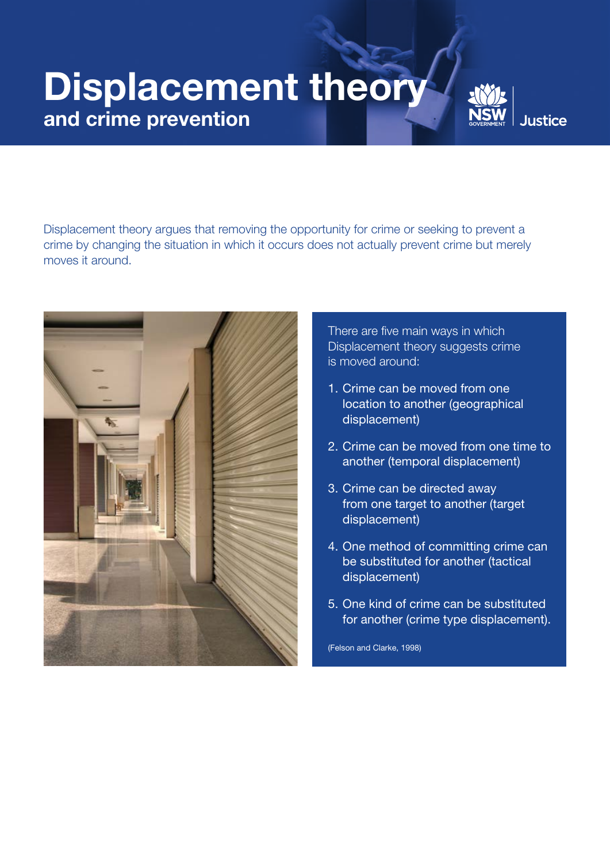## Displacement theory and crime prevention

Displacement theory argues that removing the opportunity for crime or seeking to prevent a crime by changing the situation in which it occurs does not actually prevent crime but merely moves it around.



There are five main ways in which Displacement theory suggests crime is moved around:

**Lustice** 

- 1. Crime can be moved from one location to another (geographical displacement)
- 2. Crime can be moved from one time to another (temporal displacement)
- 3. Crime can be directed away from one target to another (target displacement)
- 4. One method of committing crime can be substituted for another (tactical displacement)
- 5. One kind of crime can be substituted for another (crime type displacement).

(Felson and Clarke, 1998)